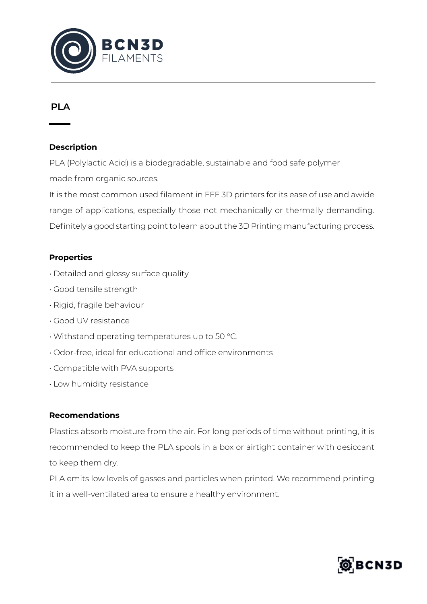

# **PLA**

### **Description**

PLA (Polylactic Acid) is a biodegradable, sustainable and food safe polymer made from organic sources.

It is the most common used filament in FFF 3D printers for its ease of use and awide range of applications, especially those not mechanically or thermally demanding. Definitely a good starting point to learn about the 3D Printing manufacturing process.

## **Properties**

- Detailed and glossy surface quality
- Good tensile strength
- Rigid, fragile behaviour
- Good UV resistance
- Withstand operating temperatures up to 50 °C.
- Odor-free, ideal for educational and office environments
- Compatible with PVA supports
- Low humidity resistance

#### **Recomendations**

Plastics absorb moisture from the air. For long periods of time without printing, it is recommended to keep the PLA spools in a box or airtight container with desiccant to keep them dry.

PLA emits low levels of gasses and particles when printed. We recommend printing it in a well-ventilated area to ensure a healthy environment.